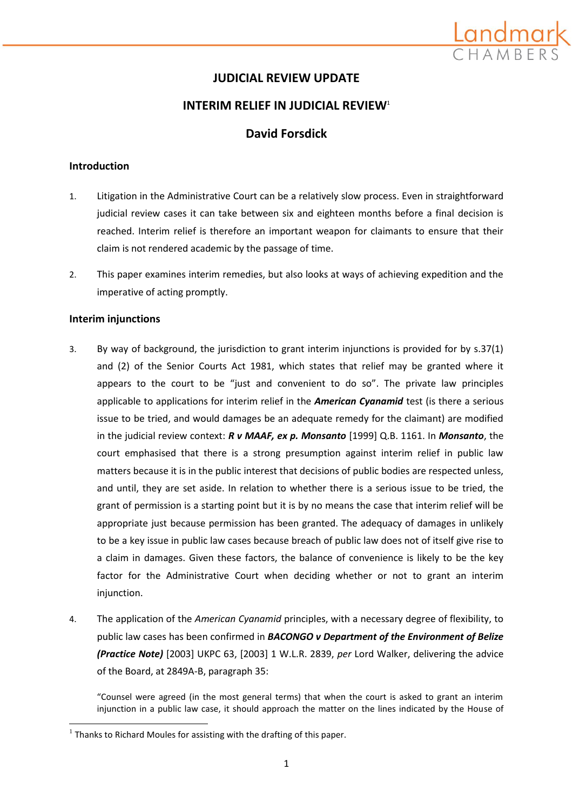

## **JUDICIAL REVIEW UPDATE**

## **INTERIM RELIEF IN JUDICIAL REVIEW**<sup>1</sup>

## **David Forsdick**

### **Introduction**

- 1. Litigation in the Administrative Court can be a relatively slow process. Even in straightforward judicial review cases it can take between six and eighteen months before a final decision is reached. Interim relief is therefore an important weapon for claimants to ensure that their claim is not rendered academic by the passage of time.
- 2. This paper examines interim remedies, but also looks at ways of achieving expedition and the imperative of acting promptly.

### **Interim injunctions**

**.** 

- 3. By way of background, the jurisdiction to grant interim injunctions is provided for by s.37(1) and (2) of the Senior Courts Act 1981, which states that relief may be granted where it appears to the court to be "just and convenient to do so". The private law principles applicable to applications for interim relief in the *American Cyanamid* test (is there a serious issue to be tried, and would damages be an adequate remedy for the claimant) are modified in the judicial review context: *R v MAAF, ex p. Monsanto* [1999] Q.B. 1161. In *Monsanto*, the court emphasised that there is a strong presumption against interim relief in public law matters because it is in the public interest that decisions of public bodies are respected unless, and until, they are set aside. In relation to whether there is a serious issue to be tried, the grant of permission is a starting point but it is by no means the case that interim relief will be appropriate just because permission has been granted. The adequacy of damages in unlikely to be a key issue in public law cases because breach of public law does not of itself give rise to a claim in damages. Given these factors, the balance of convenience is likely to be the key factor for the Administrative Court when deciding whether or not to grant an interim injunction.
- 4. The application of the *American Cyanamid* principles, with a necessary degree of flexibility, to public law cases has been confirmed in *BACONGO v Department of the Environment of Belize (Practice Note)* [2003] UKPC 63, [2003] 1 W.L.R. 2839, *per* Lord Walker, delivering the advice of the Board, at 2849A-B, paragraph 35:

"Counsel were agreed (in the most general terms) that when the court is asked to grant an interim injunction in a public law case, it should approach the matter on the lines indicated by the House of

 $<sup>1</sup>$  Thanks to Richard Moules for assisting with the drafting of this paper.</sup>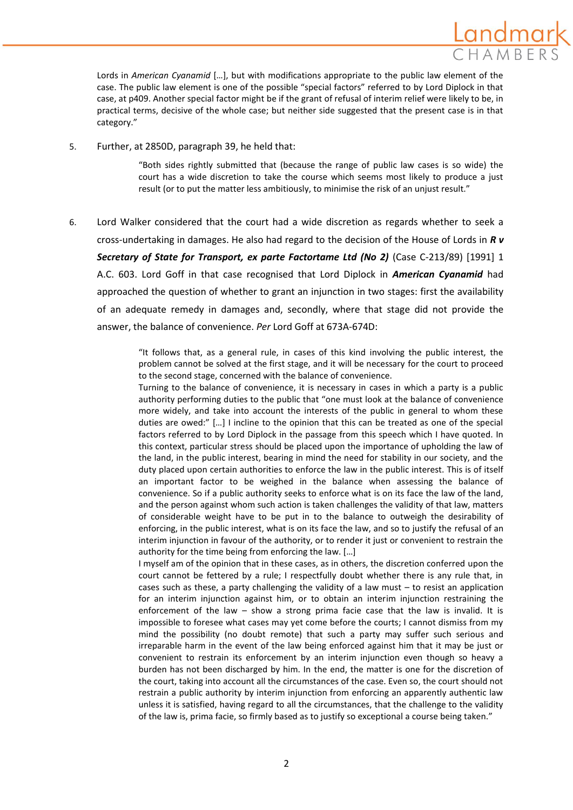

Lords in *American Cyanamid* […], but with modifications appropriate to the public law element of the case. The public law element is one of the possible "special factors" referred to by Lord Diplock in that case, at p409. Another special factor might be if the grant of refusal of interim relief were likely to be, in practical terms, decisive of the whole case; but neither side suggested that the present case is in that category."

5. Further, at 2850D, paragraph 39, he held that:

"Both sides rightly submitted that (because the range of public law cases is so wide) the court has a wide discretion to take the course which seems most likely to produce a just result (or to put the matter less ambitiously, to minimise the risk of an unjust result."

6. Lord Walker considered that the court had a wide discretion as regards whether to seek a cross-undertaking in damages. He also had regard to the decision of the House of Lords in *R v Secretary of State for Transport, ex parte Factortame Ltd (No 2)* (Case C-213/89) [1991] 1 A.C. 603. Lord Goff in that case recognised that Lord Diplock in *American Cyanamid* had approached the question of whether to grant an injunction in two stages: first the availability of an adequate remedy in damages and, secondly, where that stage did not provide the answer, the balance of convenience. *Per* Lord Goff at 673A-674D:

> "It follows that, as a general rule, in cases of this kind involving the public interest, the problem cannot be solved at the first stage, and it will be necessary for the court to proceed to the second stage, concerned with the balance of convenience.

> Turning to the balance of convenience, it is necessary in cases in which a party is a public authority performing duties to the public that "one must look at the balance of convenience more widely, and take into account the interests of the public in general to whom these duties are owed:" […] I incline to the opinion that this can be treated as one of the special factors referred to by Lord Diplock in the passage from this speech which I have quoted. In this context, particular stress should be placed upon the importance of upholding the law of the land, in the public interest, bearing in mind the need for stability in our society, and the duty placed upon certain authorities to enforce the law in the public interest. This is of itself an important factor to be weighed in the balance when assessing the balance of convenience. So if a public authority seeks to enforce what is on its face the law of the land, and the person against whom such action is taken challenges the validity of that law, matters of considerable weight have to be put in to the balance to outweigh the desirability of enforcing, in the public interest, what is on its face the law, and so to justify the refusal of an interim injunction in favour of the authority, or to render it just or convenient to restrain the authority for the time being from enforcing the law. […]

> I myself am of the opinion that in these cases, as in others, the discretion conferred upon the court cannot be fettered by a rule; I respectfully doubt whether there is any rule that, in cases such as these, a party challenging the validity of a law must – to resist an application for an interim injunction against him, or to obtain an interim injunction restraining the enforcement of the law – show a strong prima facie case that the law is invalid. It is impossible to foresee what cases may yet come before the courts; I cannot dismiss from my mind the possibility (no doubt remote) that such a party may suffer such serious and irreparable harm in the event of the law being enforced against him that it may be just or convenient to restrain its enforcement by an interim injunction even though so heavy a burden has not been discharged by him. In the end, the matter is one for the discretion of the court, taking into account all the circumstances of the case. Even so, the court should not restrain a public authority by interim injunction from enforcing an apparently authentic law unless it is satisfied, having regard to all the circumstances, that the challenge to the validity of the law is, prima facie, so firmly based as to justify so exceptional a course being taken."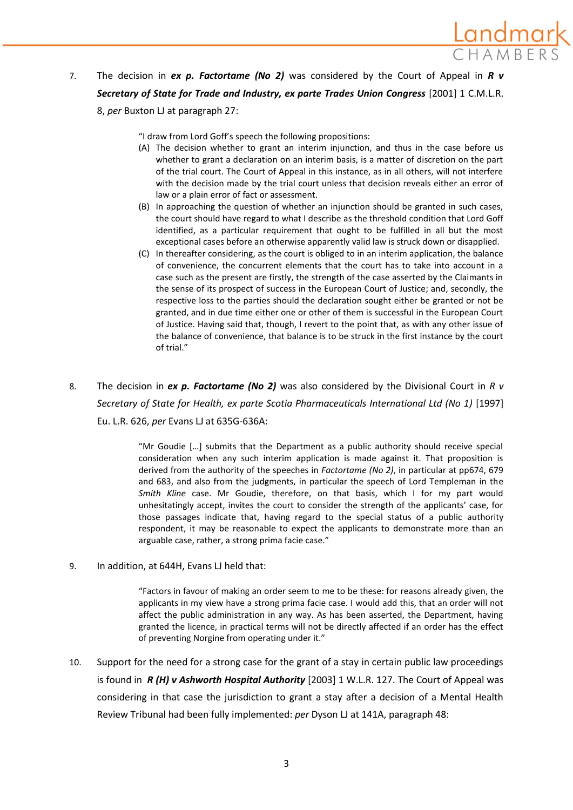

"I draw from Lord Goff's speech the following propositions:

(A) The decision whether to grant an interim injunction, and thus in the case before us whether to grant a declaration on an interim basis, is a matter of discretion on the part of the trial court. The Court of Appeal in this instance, as in all others, will not interfere with the decision made by the trial court unless that decision reveals either an error of law or a plain error of fact or assessment.

ıdmaı

- (B) In approaching the question of whether an injunction should be granted in such cases, the court should have regard to what I describe as the threshold condition that Lord Goff identified, as a particular requirement that ought to be fulfilled in all but the most exceptional cases before an otherwise apparently valid law is struck down or disapplied.
- (C) In thereafter considering, as the court is obliged to in an interim application, the balance of convenience, the concurrent elements that the court has to take into account in a case such as the present are firstly, the strength of the case asserted by the Claimants in the sense of its prospect of success in the European Court of Justice; and, secondly, the respective loss to the parties should the declaration sought either be granted or not be granted, and in due time either one or other of them is successful in the European Court of Justice. Having said that, though, I revert to the point that, as with any other issue of the balance of convenience, that balance is to be struck in the first instance by the court of trial."
- 8. The decision in *ex p. Factortame (No 2)* was also considered by the Divisional Court in *R v Secretary of State for Health, ex parte Scotia Pharmaceuticals International Ltd (No 1)* [1997] Eu. L.R. 626, *per* Evans LJ at 635G-636A:

"Mr Goudie […] submits that the Department as a public authority should receive special consideration when any such interim application is made against it. That proposition is derived from the authority of the speeches in *Factortame (No 2)*, in particular at pp674, 679 and 683, and also from the judgments, in particular the speech of Lord Templeman in the *Smith Kline* case. Mr Goudie, therefore, on that basis, which I for my part would unhesitatingly accept, invites the court to consider the strength of the applicants' case, for those passages indicate that, having regard to the special status of a public authority respondent, it may be reasonable to expect the applicants to demonstrate more than an arguable case, rather, a strong prima facie case."

9. In addition, at 644H, Evans LJ held that:

"Factors in favour of making an order seem to me to be these: for reasons already given, the applicants in my view have a strong prima facie case. I would add this, that an order will not affect the public administration in any way. As has been asserted, the Department, having granted the licence, in practical terms will not be directly affected if an order has the effect of preventing Norgine from operating under it."

10. Support for the need for a strong case for the grant of a stay in certain public law proceedings is found in *R (H) v Ashworth Hospital Authority* [2003] 1 W.L.R. 127. The Court of Appeal was considering in that case the jurisdiction to grant a stay after a decision of a Mental Health Review Tribunal had been fully implemented: *per* Dyson LJ at 141A, paragraph 48: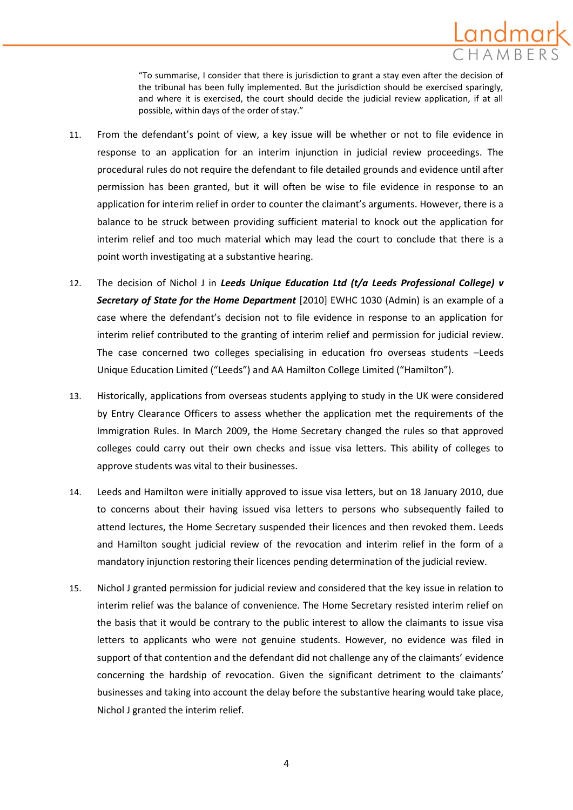"To summarise, I consider that there is jurisdiction to grant a stay even after the decision of the tribunal has been fully implemented. But the jurisdiction should be exercised sparingly, and where it is exercised, the court should decide the judicial review application, if at all possible, within days of the order of stay."

- 11. From the defendant's point of view, a key issue will be whether or not to file evidence in response to an application for an interim injunction in judicial review proceedings. The procedural rules do not require the defendant to file detailed grounds and evidence until after permission has been granted, but it will often be wise to file evidence in response to an application for interim relief in order to counter the claimant's arguments. However, there is a balance to be struck between providing sufficient material to knock out the application for interim relief and too much material which may lead the court to conclude that there is a point worth investigating at a substantive hearing.
- 12. The decision of Nichol J in *Leeds Unique Education Ltd (t/a Leeds Professional College) v Secretary of State for the Home Department* [2010] EWHC 1030 (Admin) is an example of a case where the defendant's decision not to file evidence in response to an application for interim relief contributed to the granting of interim relief and permission for judicial review. The case concerned two colleges specialising in education fro overseas students –Leeds Unique Education Limited ("Leeds") and AA Hamilton College Limited ("Hamilton").
- 13. Historically, applications from overseas students applying to study in the UK were considered by Entry Clearance Officers to assess whether the application met the requirements of the Immigration Rules. In March 2009, the Home Secretary changed the rules so that approved colleges could carry out their own checks and issue visa letters. This ability of colleges to approve students was vital to their businesses.
- 14. Leeds and Hamilton were initially approved to issue visa letters, but on 18 January 2010, due to concerns about their having issued visa letters to persons who subsequently failed to attend lectures, the Home Secretary suspended their licences and then revoked them. Leeds and Hamilton sought judicial review of the revocation and interim relief in the form of a mandatory injunction restoring their licences pending determination of the judicial review.
- 15. Nichol J granted permission for judicial review and considered that the key issue in relation to interim relief was the balance of convenience. The Home Secretary resisted interim relief on the basis that it would be contrary to the public interest to allow the claimants to issue visa letters to applicants who were not genuine students. However, no evidence was filed in support of that contention and the defendant did not challenge any of the claimants' evidence concerning the hardship of revocation. Given the significant detriment to the claimants' businesses and taking into account the delay before the substantive hearing would take place, Nichol J granted the interim relief.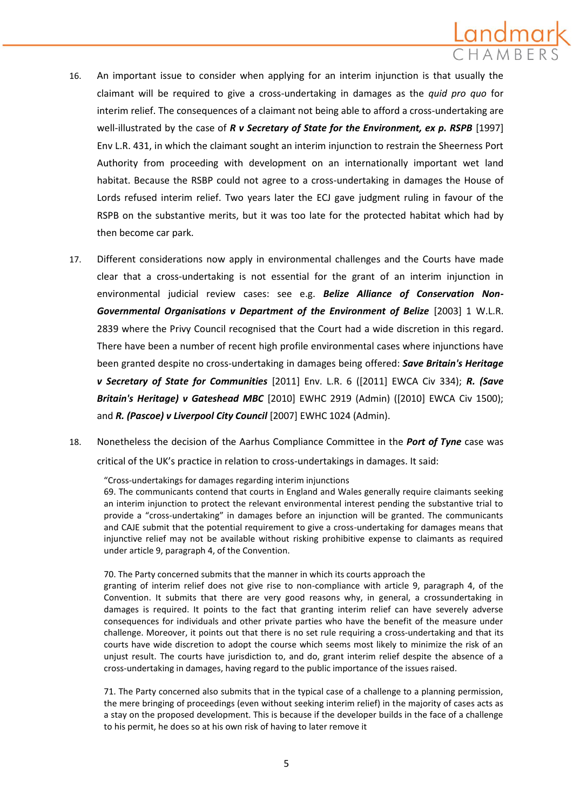- 16. An important issue to consider when applying for an interim injunction is that usually the claimant will be required to give a cross-undertaking in damages as the *quid pro quo* for interim relief. The consequences of a claimant not being able to afford a cross-undertaking are well-illustrated by the case of *R v Secretary of State for the Environment, ex p. RSPB* [1997] Env L.R. 431, in which the claimant sought an interim injunction to restrain the Sheerness Port Authority from proceeding with development on an internationally important wet land habitat. Because the RSBP could not agree to a cross-undertaking in damages the House of Lords refused interim relief. Two years later the ECJ gave judgment ruling in favour of the RSPB on the substantive merits, but it was too late for the protected habitat which had by then become car park.
- 17. Different considerations now apply in environmental challenges and the Courts have made clear that a cross-undertaking is not essential for the grant of an interim injunction in environmental judicial review cases: see e.g. *Belize Alliance of Conservation Non-Governmental Organisations v Department of the Environment of Belize* [2003] 1 W.L.R. 2839 where the Privy Council recognised that the Court had a wide discretion in this regard. There have been a number of recent high profile environmental cases where injunctions have been granted despite no cross-undertaking in damages being offered: *Save Britain's Heritage v Secretary of State for Communities* [2011] Env. L.R. 6 ([2011] EWCA Civ 334); *R. (Save Britain's Heritage) v Gateshead MBC* [2010] EWHC 2919 (Admin) ([2010] EWCA Civ 1500); and *R. (Pascoe) v Liverpool City Council* [2007] EWHC 1024 (Admin).
- 18. Nonetheless the decision of the Aarhus Compliance Committee in the *Port of Tyne* case was critical of the UK's practice in relation to cross-undertakings in damages. It said:

"Cross-undertakings for damages regarding interim injunctions

69. The communicants contend that courts in England and Wales generally require claimants seeking an interim injunction to protect the relevant environmental interest pending the substantive trial to provide a "cross-undertaking" in damages before an injunction will be granted. The communicants and CAJE submit that the potential requirement to give a cross-undertaking for damages means that injunctive relief may not be available without risking prohibitive expense to claimants as required under article 9, paragraph 4, of the Convention.

70. The Party concerned submits that the manner in which its courts approach the

granting of interim relief does not give rise to non-compliance with article 9, paragraph 4, of the Convention. It submits that there are very good reasons why, in general, a crossundertaking in damages is required. It points to the fact that granting interim relief can have severely adverse consequences for individuals and other private parties who have the benefit of the measure under challenge. Moreover, it points out that there is no set rule requiring a cross-undertaking and that its courts have wide discretion to adopt the course which seems most likely to minimize the risk of an unjust result. The courts have jurisdiction to, and do, grant interim relief despite the absence of a cross-undertaking in damages, having regard to the public importance of the issues raised.

71. The Party concerned also submits that in the typical case of a challenge to a planning permission, the mere bringing of proceedings (even without seeking interim relief) in the majority of cases acts as a stay on the proposed development. This is because if the developer builds in the face of a challenge to his permit, he does so at his own risk of having to later remove it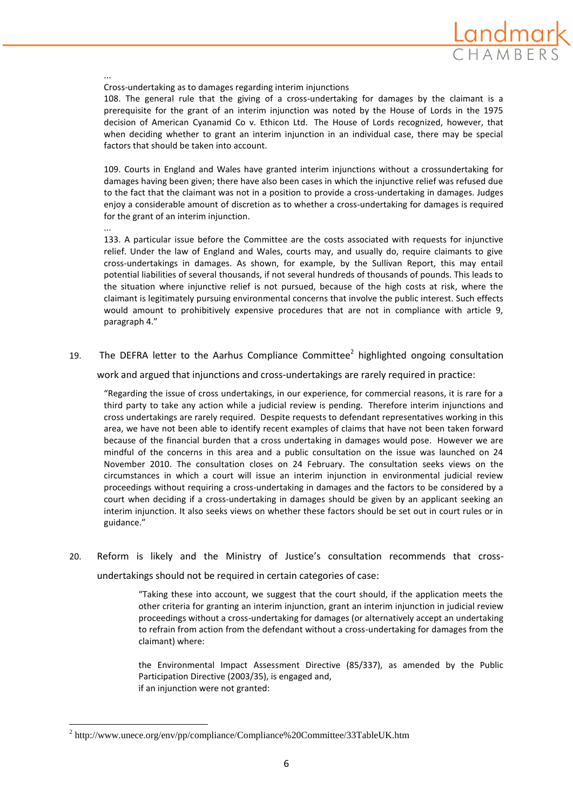

Cross-undertaking as to damages regarding interim injunctions

108. The general rule that the giving of a cross-undertaking for damages by the claimant is a prerequisite for the grant of an interim injunction was noted by the House of Lords in the 1975 decision of American Cyanamid Co v. Ethicon Ltd. The House of Lords recognized, however, that when deciding whether to grant an interim injunction in an individual case, there may be special factors that should be taken into account.

109. Courts in England and Wales have granted interim injunctions without a crossundertaking for damages having been given; there have also been cases in which the injunctive relief was refused due to the fact that the claimant was not in a position to provide a cross-undertaking in damages. Judges enjoy a considerable amount of discretion as to whether a cross-undertaking for damages is required for the grant of an interim injunction.

...

**.** 

...

133. A particular issue before the Committee are the costs associated with requests for injunctive relief. Under the law of England and Wales, courts may, and usually do, require claimants to give cross-undertakings in damages. As shown, for example, by the Sullivan Report, this may entail potential liabilities of several thousands, if not several hundreds of thousands of pounds. This leads to the situation where injunctive relief is not pursued, because of the high costs at risk, where the claimant is legitimately pursuing environmental concerns that involve the public interest. Such effects would amount to prohibitively expensive procedures that are not in compliance with article 9, paragraph 4."

### 19. The DEFRA letter to the Aarhus Compliance Committee<sup>2</sup> highlighted ongoing consultation

work and argued that injunctions and cross-undertakings are rarely required in practice:

"Regarding the issue of cross undertakings, in our experience, for commercial reasons, it is rare for a third party to take any action while a judicial review is pending. Therefore interim injunctions and cross undertakings are rarely required. Despite requests to defendant representatives working in this area, we have not been able to identify recent examples of claims that have not been taken forward because of the financial burden that a cross undertaking in damages would pose. However we are mindful of the concerns in this area and a public consultation on the issue was launched on 24 November 2010. The consultation closes on 24 February. The consultation seeks views on the circumstances in which a court will issue an interim injunction in environmental judicial review proceedings without requiring a cross-undertaking in damages and the factors to be considered by a court when deciding if a cross-undertaking in damages should be given by an applicant seeking an interim injunction. It also seeks views on whether these factors should be set out in court rules or in guidance."

20. Reform is likely and the Ministry of Justice's consultation recommends that crossundertakings should not be required in certain categories of case:

> "Taking these into account, we suggest that the court should, if the application meets the other criteria for granting an interim injunction, grant an interim injunction in judicial review proceedings without a cross-undertaking for damages (or alternatively accept an undertaking to refrain from action from the defendant without a cross-undertaking for damages from the claimant) where:

> the Environmental Impact Assessment Directive (85/337), as amended by the Public Participation Directive (2003/35), is engaged and, if an injunction were not granted:

<sup>&</sup>lt;sup>2</sup> http://www.unece.org/env/pp/compliance/Compliance%20Committee/33TableUK.htm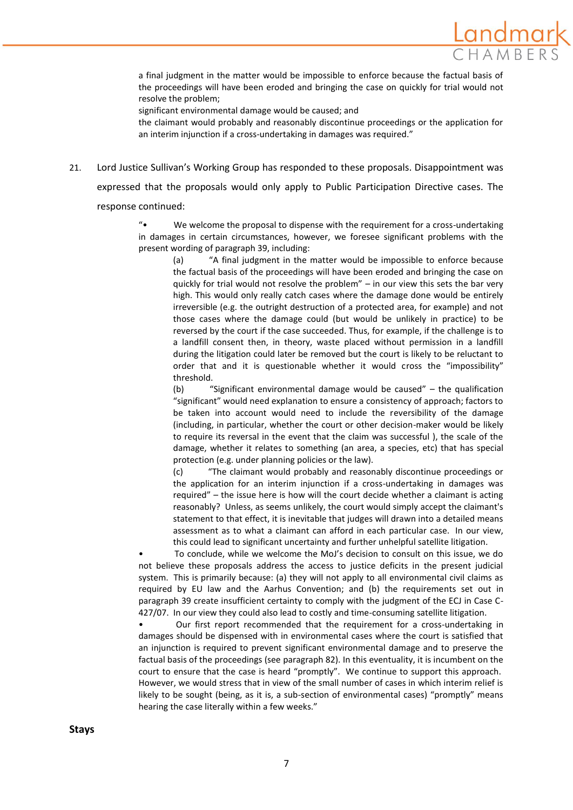

a final judgment in the matter would be impossible to enforce because the factual basis of the proceedings will have been eroded and bringing the case on quickly for trial would not resolve the problem;

significant environmental damage would be caused; and

the claimant would probably and reasonably discontinue proceedings or the application for an interim injunction if a cross-undertaking in damages was required."

21. Lord Justice Sullivan's Working Group has responded to these proposals. Disappointment was

expressed that the proposals would only apply to Public Participation Directive cases. The response continued:

> "• We welcome the proposal to dispense with the requirement for a cross-undertaking in damages in certain circumstances, however, we foresee significant problems with the present wording of paragraph 39, including:

(a) "A final judgment in the matter would be impossible to enforce because the factual basis of the proceedings will have been eroded and bringing the case on quickly for trial would not resolve the problem" – in our view this sets the bar very high. This would only really catch cases where the damage done would be entirely irreversible (e.g. the outright destruction of a protected area, for example) and not those cases where the damage could (but would be unlikely in practice) to be reversed by the court if the case succeeded. Thus, for example, if the challenge is to a landfill consent then, in theory, waste placed without permission in a landfill during the litigation could later be removed but the court is likely to be reluctant to order that and it is questionable whether it would cross the "impossibility" threshold.

(b) "Significant environmental damage would be caused" – the qualification "significant" would need explanation to ensure a consistency of approach; factors to be taken into account would need to include the reversibility of the damage (including, in particular, whether the court or other decision-maker would be likely to require its reversal in the event that the claim was successful ), the scale of the damage, whether it relates to something (an area, a species, etc) that has special protection (e.g. under planning policies or the law).

(c) "The claimant would probably and reasonably discontinue proceedings or the application for an interim injunction if a cross-undertaking in damages was required" – the issue here is how will the court decide whether a claimant is acting reasonably? Unless, as seems unlikely, the court would simply accept the claimant's statement to that effect, it is inevitable that judges will drawn into a detailed means assessment as to what a claimant can afford in each particular case. In our view, this could lead to significant uncertainty and further unhelpful satellite litigation.

• To conclude, while we welcome the MoJ's decision to consult on this issue, we do not believe these proposals address the access to justice deficits in the present judicial system. This is primarily because: (a) they will not apply to all environmental civil claims as required by EU law and the Aarhus Convention; and (b) the requirements set out in paragraph 39 create insufficient certainty to comply with the judgment of the ECJ in Case C-427/07. In our view they could also lead to costly and time-consuming satellite litigation.

• Our first report recommended that the requirement for a cross-undertaking in damages should be dispensed with in environmental cases where the court is satisfied that an injunction is required to prevent significant environmental damage and to preserve the factual basis of the proceedings (see paragraph 82). In this eventuality, it is incumbent on the court to ensure that the case is heard "promptly". We continue to support this approach. However, we would stress that in view of the small number of cases in which interim relief is likely to be sought (being, as it is, a sub-section of environmental cases) "promptly" means hearing the case literally within a few weeks."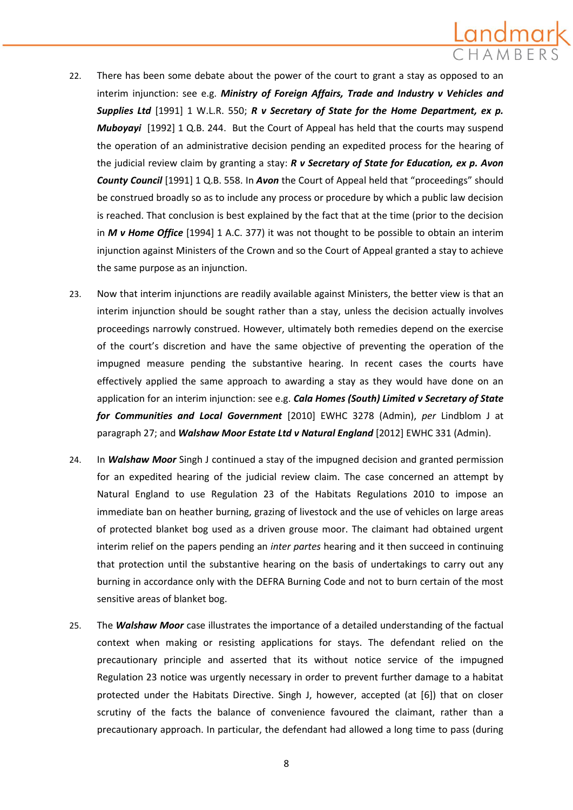# Landmark

- 22. There has been some debate about the power of the court to grant a stay as opposed to an interim injunction: see e.g. *Ministry of Foreign Affairs, Trade and Industry v Vehicles and Supplies Ltd* [1991] 1 W.L.R. 550; *R v Secretary of State for the Home Department, ex p. Muboyayi* [1992] 1 Q.B. 244. But the Court of Appeal has held that the courts may suspend the operation of an administrative decision pending an expedited process for the hearing of the judicial review claim by granting a stay: *R v Secretary of State for Education, ex p. Avon County Council* [1991] 1 Q.B. 558. In *Avon* the Court of Appeal held that "proceedings" should be construed broadly so as to include any process or procedure by which a public law decision is reached. That conclusion is best explained by the fact that at the time (prior to the decision in *M v Home Office* [1994] 1 A.C. 377) it was not thought to be possible to obtain an interim injunction against Ministers of the Crown and so the Court of Appeal granted a stay to achieve the same purpose as an injunction.
- 23. Now that interim injunctions are readily available against Ministers, the better view is that an interim injunction should be sought rather than a stay, unless the decision actually involves proceedings narrowly construed. However, ultimately both remedies depend on the exercise of the court's discretion and have the same objective of preventing the operation of the impugned measure pending the substantive hearing. In recent cases the courts have effectively applied the same approach to awarding a stay as they would have done on an application for an interim injunction: see e.g. *Cala Homes (South) Limited v Secretary of State for Communities and Local Government* [2010] EWHC 3278 (Admin), *per* Lindblom J at paragraph 27; and *Walshaw Moor Estate Ltd v Natural England* [2012] EWHC 331 (Admin).
- 24. In *Walshaw Moor* Singh J continued a stay of the impugned decision and granted permission for an expedited hearing of the judicial review claim. The case concerned an attempt by Natural England to use Regulation 23 of the Habitats Regulations 2010 to impose an immediate ban on heather burning, grazing of livestock and the use of vehicles on large areas of protected blanket bog used as a driven grouse moor. The claimant had obtained urgent interim relief on the papers pending an *inter partes* hearing and it then succeed in continuing that protection until the substantive hearing on the basis of undertakings to carry out any burning in accordance only with the DEFRA Burning Code and not to burn certain of the most sensitive areas of blanket bog.
- 25. The *Walshaw Moor* case illustrates the importance of a detailed understanding of the factual context when making or resisting applications for stays. The defendant relied on the precautionary principle and asserted that its without notice service of the impugned Regulation 23 notice was urgently necessary in order to prevent further damage to a habitat protected under the Habitats Directive. Singh J, however, accepted (at [6]) that on closer scrutiny of the facts the balance of convenience favoured the claimant, rather than a precautionary approach. In particular, the defendant had allowed a long time to pass (during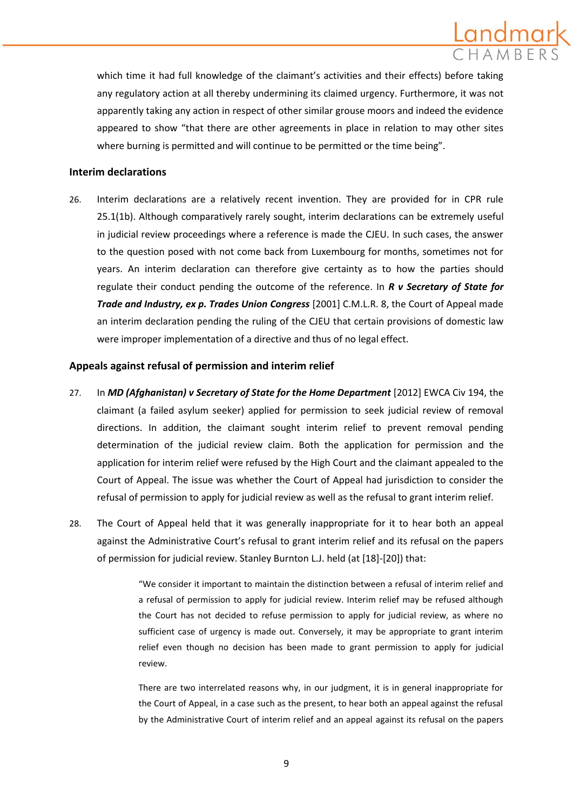# .andmark

which time it had full knowledge of the claimant's activities and their effects) before taking any regulatory action at all thereby undermining its claimed urgency. Furthermore, it was not apparently taking any action in respect of other similar grouse moors and indeed the evidence appeared to show "that there are other agreements in place in relation to may other sites where burning is permitted and will continue to be permitted or the time being".

### **Interim declarations**

26. Interim declarations are a relatively recent invention. They are provided for in CPR rule 25.1(1b). Although comparatively rarely sought, interim declarations can be extremely useful in judicial review proceedings where a reference is made the CJEU. In such cases, the answer to the question posed with not come back from Luxembourg for months, sometimes not for years. An interim declaration can therefore give certainty as to how the parties should regulate their conduct pending the outcome of the reference. In *R v Secretary of State for Trade and Industry, ex p. Trades Union Congress* [2001] C.M.L.R. 8, the Court of Appeal made an interim declaration pending the ruling of the CJEU that certain provisions of domestic law were improper implementation of a directive and thus of no legal effect.

### **Appeals against refusal of permission and interim relief**

- 27. In *MD (Afghanistan) v Secretary of State for the Home Department* [2012] EWCA Civ 194, the claimant (a failed asylum seeker) applied for permission to seek judicial review of removal directions. In addition, the claimant sought interim relief to prevent removal pending determination of the judicial review claim. Both the application for permission and the application for interim relief were refused by the High Court and the claimant appealed to the Court of Appeal. The issue was whether the Court of Appeal had jurisdiction to consider the refusal of permission to apply for judicial review as well as the refusal to grant interim relief.
- 28. The Court of Appeal held that it was generally inappropriate for it to hear both an appeal against the Administrative Court's refusal to grant interim relief and its refusal on the papers of permission for judicial review. Stanley Burnton L.J. held (at [18]-[20]) that:

"We consider it important to maintain the distinction between a refusal of interim relief and a refusal of permission to apply for judicial review. Interim relief may be refused although the Court has not decided to refuse permission to apply for judicial review, as where no sufficient case of urgency is made out. Conversely, it may be appropriate to grant interim relief even though no decision has been made to grant permission to apply for judicial review.

There are two interrelated reasons why, in our judgment, it is in general inappropriate for the Court of Appeal, in a case such as the present, to hear both an appeal against the refusal by the Administrative Court of interim relief and an appeal against its refusal on the papers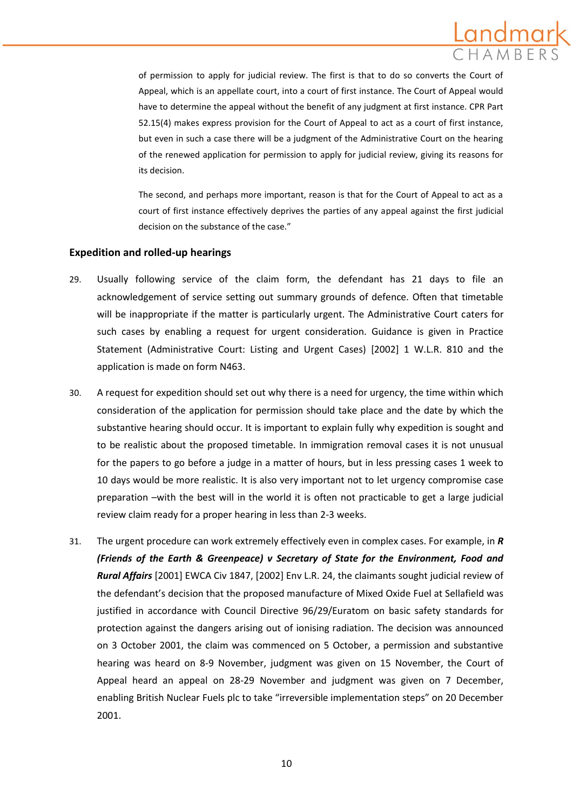

of permission to apply for judicial review. The first is that to do so converts the Court of Appeal, which is an appellate court, into a court of first instance. The Court of Appeal would have to determine the appeal without the benefit of any judgment at first instance. CPR Part 52.15(4) makes express provision for the Court of Appeal to act as a court of first instance, but even in such a case there will be a judgment of the Administrative Court on the hearing of the renewed application for permission to apply for judicial review, giving its reasons for its decision.

The second, and perhaps more important, reason is that for the Court of Appeal to act as a court of first instance effectively deprives the parties of any appeal against the first judicial decision on the substance of the case."

### **Expedition and rolled-up hearings**

- 29. Usually following service of the claim form, the defendant has 21 days to file an acknowledgement of service setting out summary grounds of defence. Often that timetable will be inappropriate if the matter is particularly urgent. The Administrative Court caters for such cases by enabling a request for urgent consideration. Guidance is given in Practice Statement (Administrative Court: Listing and Urgent Cases) [2002] 1 W.L.R. 810 and the application is made on form N463.
- 30. A request for expedition should set out why there is a need for urgency, the time within which consideration of the application for permission should take place and the date by which the substantive hearing should occur. It is important to explain fully why expedition is sought and to be realistic about the proposed timetable. In immigration removal cases it is not unusual for the papers to go before a judge in a matter of hours, but in less pressing cases 1 week to 10 days would be more realistic. It is also very important not to let urgency compromise case preparation –with the best will in the world it is often not practicable to get a large judicial review claim ready for a proper hearing in less than 2-3 weeks.
- 31. The urgent procedure can work extremely effectively even in complex cases. For example, in *R (Friends of the Earth & Greenpeace) v Secretary of State for the Environment, Food and Rural Affairs* [2001] EWCA Civ 1847, [2002] Env L.R. 24, the claimants sought judicial review of the defendant's decision that the proposed manufacture of Mixed Oxide Fuel at Sellafield was justified in accordance with Council Directive 96/29/Euratom on basic safety standards for protection against the dangers arising out of ionising radiation. The decision was announced on 3 October 2001, the claim was commenced on 5 October, a permission and substantive hearing was heard on 8-9 November, judgment was given on 15 November, the Court of Appeal heard an appeal on 28-29 November and judgment was given on 7 December, enabling British Nuclear Fuels plc to take "irreversible implementation steps" on 20 December 2001.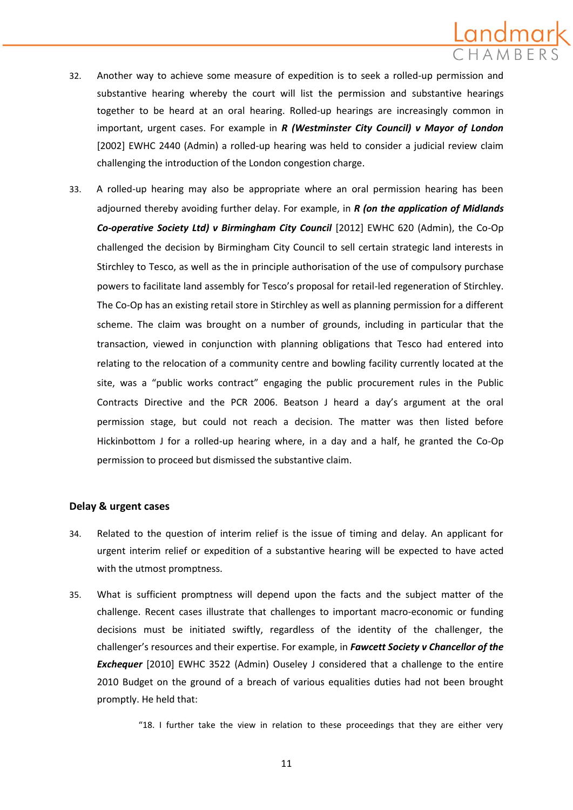# andmar

- 32. Another way to achieve some measure of expedition is to seek a rolled-up permission and substantive hearing whereby the court will list the permission and substantive hearings together to be heard at an oral hearing. Rolled-up hearings are increasingly common in important, urgent cases. For example in *R (Westminster City Council) v Mayor of London*  [2002] EWHC 2440 (Admin) a rolled-up hearing was held to consider a judicial review claim challenging the introduction of the London congestion charge.
- 33. A rolled-up hearing may also be appropriate where an oral permission hearing has been adjourned thereby avoiding further delay. For example, in *R (on the application of Midlands Co-operative Society Ltd) v Birmingham City Council* [2012] EWHC 620 (Admin), the Co-Op challenged the decision by Birmingham City Council to sell certain strategic land interests in Stirchley to Tesco, as well as the in principle authorisation of the use of compulsory purchase powers to facilitate land assembly for Tesco's proposal for retail-led regeneration of Stirchley. The Co-Op has an existing retail store in Stirchley as well as planning permission for a different scheme. The claim was brought on a number of grounds, including in particular that the transaction, viewed in conjunction with planning obligations that Tesco had entered into relating to the relocation of a community centre and bowling facility currently located at the site, was a "public works contract" engaging the public procurement rules in the Public Contracts Directive and the PCR 2006. Beatson J heard a day's argument at the oral permission stage, but could not reach a decision. The matter was then listed before Hickinbottom J for a rolled-up hearing where, in a day and a half, he granted the Co-Op permission to proceed but dismissed the substantive claim.

### **Delay & urgent cases**

- 34. Related to the question of interim relief is the issue of timing and delay. An applicant for urgent interim relief or expedition of a substantive hearing will be expected to have acted with the utmost promptness.
- 35. What is sufficient promptness will depend upon the facts and the subject matter of the challenge. Recent cases illustrate that challenges to important macro-economic or funding decisions must be initiated swiftly, regardless of the identity of the challenger, the challenger's resources and their expertise. For example, in *Fawcett Society v Chancellor of the*  **Exchequer** [2010] EWHC 3522 (Admin) Ouseley J considered that a challenge to the entire 2010 Budget on the ground of a breach of various equalities duties had not been brought promptly. He held that:
	- "18. I further take the view in relation to these proceedings that they are either very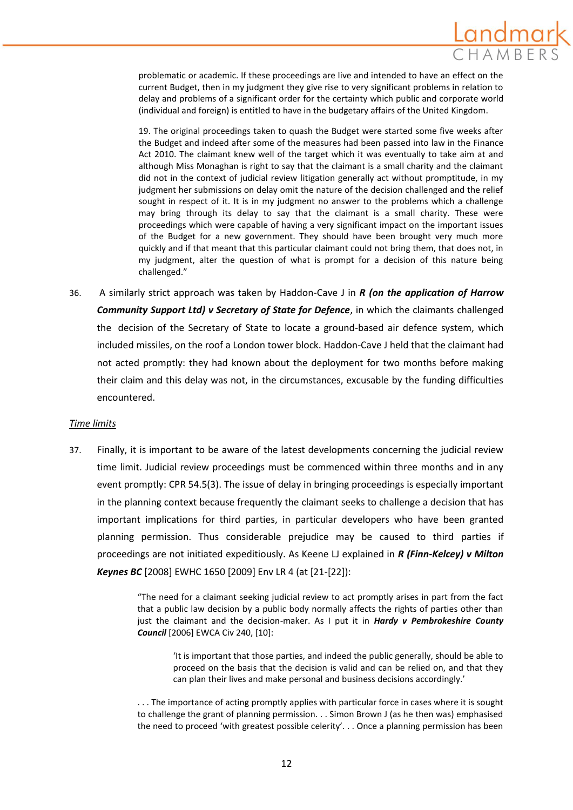problematic or academic. If these proceedings are live and intended to have an effect on the current Budget, then in my judgment they give rise to very significant problems in relation to delay and problems of a significant order for the certainty which public and corporate world (individual and foreign) is entitled to have in the budgetary affairs of the United Kingdom.

19. The original proceedings taken to quash the Budget were started some five weeks after the Budget and indeed after some of the measures had been passed into law in the Finance Act 2010. The claimant knew well of the target which it was eventually to take aim at and although Miss Monaghan is right to say that the claimant is a small charity and the claimant did not in the context of judicial review litigation generally act without promptitude, in my judgment her submissions on delay omit the nature of the decision challenged and the relief sought in respect of it. It is in my judgment no answer to the problems which a challenge may bring through its delay to say that the claimant is a small charity. These were proceedings which were capable of having a very significant impact on the important issues of the Budget for a new government. They should have been brought very much more quickly and if that meant that this particular claimant could not bring them, that does not, in my judgment, alter the question of what is prompt for a decision of this nature being challenged."

36. A similarly strict approach was taken by Haddon-Cave J in *R (on the application of Harrow Community Support Ltd) v Secretary of State for Defence*, in which the claimants challenged the decision of the Secretary of State to locate a ground-based air defence system, which included missiles, on the roof a London tower block. Haddon-Cave J held that the claimant had not acted promptly: they had known about the deployment for two months before making their claim and this delay was not, in the circumstances, excusable by the funding difficulties encountered.

### *Time limits*

37. Finally, it is important to be aware of the latest developments concerning the judicial review time limit. Judicial review proceedings must be commenced within three months and in any event promptly: CPR 54.5(3). The issue of delay in bringing proceedings is especially important in the planning context because frequently the claimant seeks to challenge a decision that has important implications for third parties, in particular developers who have been granted planning permission. Thus considerable prejudice may be caused to third parties if proceedings are not initiated expeditiously. As Keene LJ explained in *R (Finn-Kelcey) v Milton Keynes BC* [2008] EWHC 1650 [2009] Env LR 4 (at [21-[22]):

> "The need for a claimant seeking judicial review to act promptly arises in part from the fact that a public law decision by a public body normally affects the rights of parties other than just the claimant and the decision-maker. As I put it in *Hardy v Pembrokeshire County Council* [2006] EWCA Civ 240, [10]:

'It is important that those parties, and indeed the public generally, should be able to proceed on the basis that the decision is valid and can be relied on, and that they can plan their lives and make personal and business decisions accordingly.'

. . . The importance of acting promptly applies with particular force in cases where it is sought to challenge the grant of planning permission. . . Simon Brown J (as he then was) emphasised the need to proceed 'with greatest possible celerity'. . . Once a planning permission has been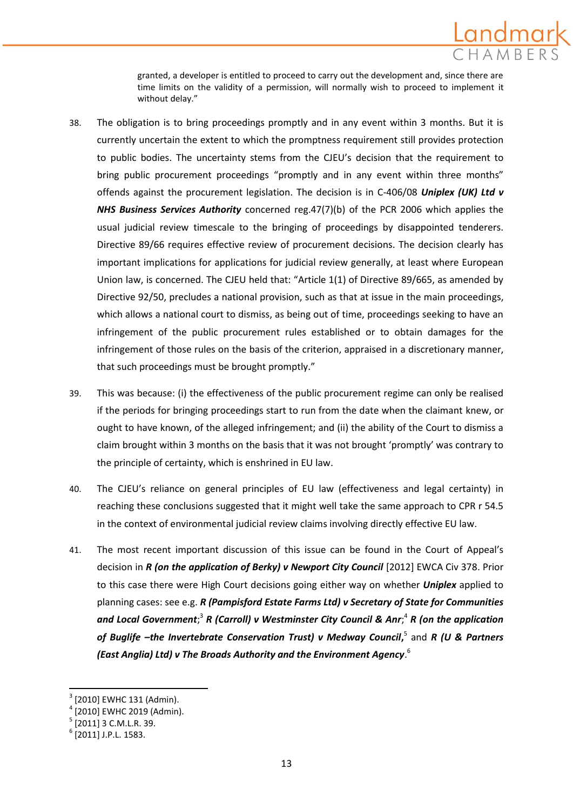

granted, a developer is entitled to proceed to carry out the development and, since there are time limits on the validity of a permission, will normally wish to proceed to implement it without delay."

- 38. The obligation is to bring proceedings promptly and in any event within 3 months. But it is currently uncertain the extent to which the promptness requirement still provides protection to public bodies. The uncertainty stems from the CJEU's decision that the requirement to bring public procurement proceedings "promptly and in any event within three months" offends against the procurement legislation. The decision is in C-406/08 *Uniplex (UK) Ltd v NHS Business Services Authority* concerned reg.47(7)(b) of the PCR 2006 which applies the usual judicial review timescale to the bringing of proceedings by disappointed tenderers. Directive 89/66 requires effective review of procurement decisions. The decision clearly has important implications for applications for judicial review generally, at least where European Union law, is concerned. The CJEU held that: "Article 1(1) of Directive 89/665, as amended by Directive 92/50, precludes a national provision, such as that at issue in the main proceedings, which allows a national court to dismiss, as being out of time, proceedings seeking to have an infringement of the public procurement rules established or to obtain damages for the infringement of those rules on the basis of the criterion, appraised in a discretionary manner, that such proceedings must be brought promptly."
- 39. This was because: (i) the effectiveness of the public procurement regime can only be realised if the periods for bringing proceedings start to run from the date when the claimant knew, or ought to have known, of the alleged infringement; and (ii) the ability of the Court to dismiss a claim brought within 3 months on the basis that it was not brought 'promptly' was contrary to the principle of certainty, which is enshrined in EU law.
- 40. The CJEU's reliance on general principles of EU law (effectiveness and legal certainty) in reaching these conclusions suggested that it might well take the same approach to CPR r 54.5 in the context of environmental judicial review claims involving directly effective EU law.
- 41. The most recent important discussion of this issue can be found in the Court of Appeal's decision in *R (on the application of Berky) v Newport City Council* [2012] EWCA Civ 378. Prior to this case there were High Court decisions going either way on whether *Uniplex* applied to planning cases: see e.g. *R (Pampisford Estate Farms Ltd) v Secretary of State for Communities and Local Government*; 3 *R (Carroll) v Westminster City Council & Anr*; 4 *R (on the application of Buglife –the Invertebrate Conservation Trust) v Medway Council***,** 5 and *R (U & Partners (East Anglia) Ltd) v The Broads Authority and the Environment Agency*. 6

**.** 

<sup>3</sup> [2010] EWHC 131 (Admin).

<sup>4</sup> [2010] EWHC 2019 (Admin).

 $<sup>5</sup>$  [2011] 3 C.M.L.R. 39.</sup>

<sup>6</sup> [2011] J.P.L. 1583.